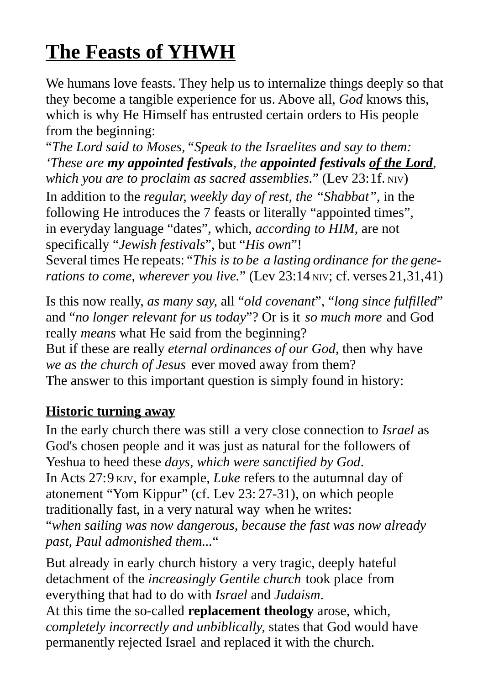# **The Feasts of YHWH**

We humans love feasts. They help us to internalize things deeply so that they become a tangible experience for us. Above all, *God* knows this, which is why He Himself has entrusted certain orders to His people from the beginning:

"*The Lord said to Moses,"Speak to the Israelites and say to them: 'These are my appointed festivals, the appointed festivals of the Lord,*  which you are to proclaim as sacred assemblies." (Lev 23:1f. NIV) In addition to the *regular, weekly day of rest, the "Shabbat"*, in the following He introduces the 7 feasts or literally "appointed times", in everyday language "dates", which, *according to HIM*, are not specifically "*Jewish festivals*", but "*His own*"! Several times He repeats: "*This is to be a lasting ordinance for the generations to come, wherever you live.*" (Lev 23:14 NIV; cf. verses 21,31,41)

Is this now really, *as many say,* all "*old covenant*", "*long since fulfilled*" and "*no longer relevant for us today*"? Or is it *so much more* and God really *means* what He said from the beginning? But if these are really *eternal ordinances of our God*, then why have *we as the church of Jesus* ever moved away from them? The answer to this important question is simply found in history:

# **Historic turning away**

In the early church there was still a very close connection to *Israel* as God's chosen people and it was just as natural for the followers of Yeshua to heed these *days, which were sanctified by God*. In Acts 27:9 KJV, for example, *Luke* refers to the autumnal day of atonement "Yom Kippur" (cf. Lev 23: 27-31), on which people traditionally fast, in a very natural way when he writes: "*when sailing was now dangerous, because the fast was now already past, Paul admonished them...*"

But already in early church history a very tragic, deeply hateful detachment of the *increasingly Gentile church* took place from everything that had to do with *Israel* and *Judaism*. At this time the so-called **replacement theology** arose, which,

*completely incorrectly and unbiblically,* states that God would have permanently rejected Israel and replaced it with the church.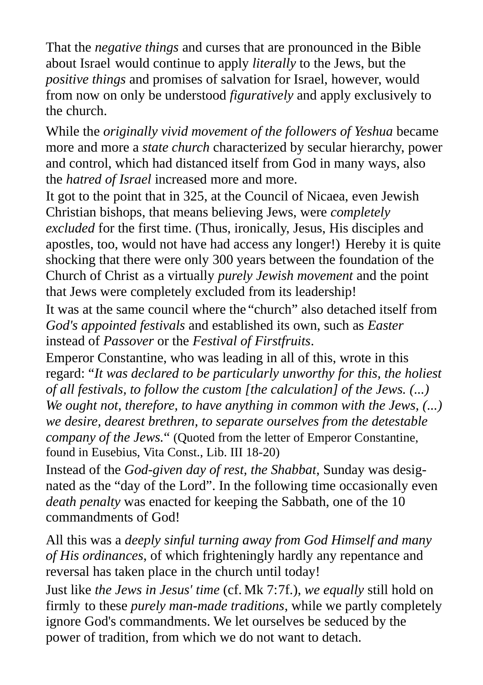That the *negative things* and curses that are pronounced in the Bible about Israel would continue to apply *literally* to the Jews, but the *positive things* and promises of salvation for Israel, however, would from now on only be understood *figuratively* and apply exclusively to the church.

While the *originally vivid movement of the followers of Yeshua* became more and more a *state church* characterized by secular hierarchy, power and control, which had distanced itself from God in many ways, also the *hatred of Israel* increased more and more.

It got to the point that in 325, at the Council of Nicaea, even Jewish Christian bishops, that means believing Jews, were *completely excluded* for the first time. (Thus, ironically, Jesus, His disciples and apostles, too, would not have had access any longer!) Hereby it is quite shocking that there were only 300 years between the foundation of the Church of Christ as a virtually *purely Jewish movement* and the point that Jews were completely excluded from its leadership!

It was at the same council where the "church" also detached itself from *God's appointed festivals* and established its own, such as *Easter*  instead of *Passover* or the *Festival of Firstfruits*.

Emperor Constantine, who was leading in all of this, wrote in this regard: "*It was declared to be particularly unworthy for this, the holiest of all festivals, to follow the custom [the calculation] of the Jews. (...) We ought not, therefore, to have anything in common with the Jews, (...) we desire, dearest brethren, to separate ourselves from the detestable company of the Jews.*" (Quoted from the letter of Emperor Constantine, found in Eusebius, Vita Const., Lib. III 18-20)

Instead of the *God-given day of rest, the Shabbat*, Sunday was designated as the "day of the Lord". In the following time occasionally even *death penalty* was enacted for keeping the Sabbath, one of the 10 commandments of God!

All this was a *deeply sinful turning away from God Himself and many of His ordinances*, of which frighteningly hardly any repentance and reversal has taken place in the church until today!

Just like *the Jews in Jesus' time* (cf. Mk 7:7f.), *we equally* still hold on firmly to these *purely man-made traditions*, while we partly completely ignore God's commandments. We let ourselves be seduced by the power of tradition, from which we do not want to detach.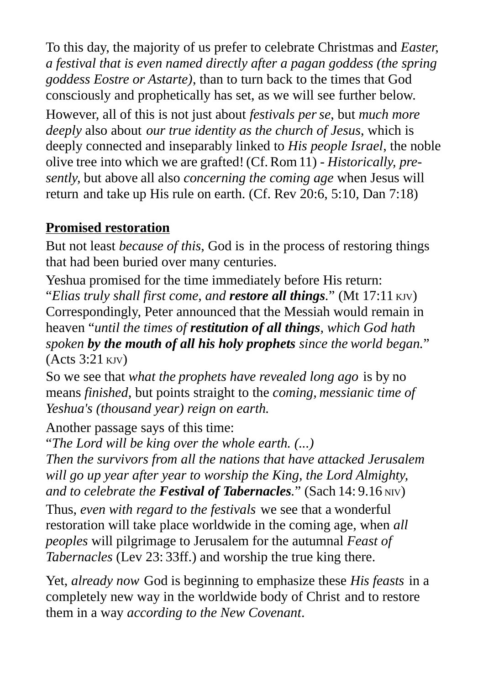To this day, the majority of us prefer to celebrate Christmas and *Easter, a festival that is even named directly after a pagan goddess (the spring goddess Eostre or Astarte)*, than to turn back to the times that God consciously and prophetically has set, as we will see further below.

However, all of this is not just about *festivals perse*, but *much more deeply* also about *our true identity as the church of Jesus*, which is deeply connected and inseparably linked to *His people Israel*, the noble olive tree into which we are grafted! (Cf.Rom11) - *Historically, presently,* but above all also *concerning the coming age* when Jesus will return and take up His rule on earth. (Cf. Rev 20:6, 5:10, Dan 7:18)

#### **Promised restoration**

But not least *because of this*, God is in the process of restoring things that had been buried over many centuries.

Yeshua promised for the time immediately before His return: "*Elias truly shall first come, and restore all things.*" (Mt 17:11 KJV) Correspondingly, Peter announced that the Messiah would remain in heaven "*until the times of restitution of all things, which God hath spoken by the mouth of all his holy prophets since the world began.*" (Acts 3:21 KJV)

So we see that *what the prophets have revealed long ago* is by no means *finished*, but points straight to the *coming, messianic time of Yeshua's (thousand year) reign on earth.*

Another passage says of this time:

"*The Lord will be king over the whole earth. (...)* 

*Then the survivors from all the nations that have attacked Jerusalem will go up year after year to worship the King, the Lord Almighty, and to celebrate the Festival of Tabernacles.*" (Sach 14: 9.16 NIV)

Thus, *even with regard to the festivals* we see that a wonderful restoration will take place worldwide in the coming age, when *all peoples* will pilgrimage to Jerusalem for the autumnal *Feast of Tabernacles* (Lev 23: 33ff.) and worship the true king there.

Yet, *already now* God is beginning to emphasize these *His feasts* in a completely new way in the worldwide body of Christ and to restore them in a way *according to the New Covenant*.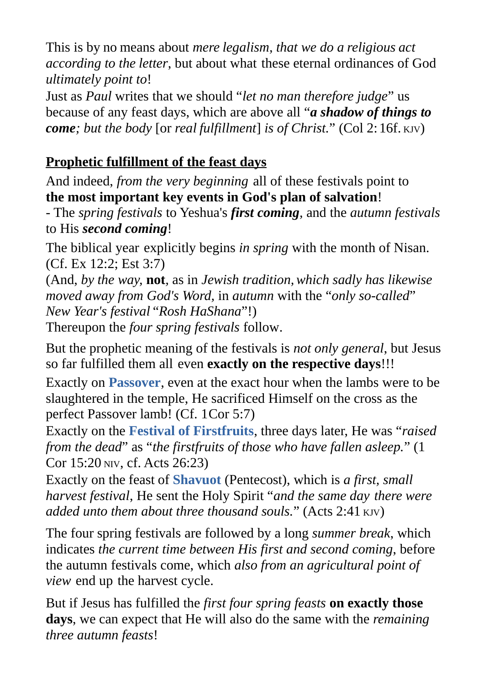This is by no means about *mere legalism, that we do a religious act according to the letter*, but about what these eternal ordinances of God *ultimately point to*!

Just as *Paul* writes that we should "*let no man therefore judge*" us because of any feast days, which are above all "*a shadow of things to come; but the body* [or *real fulfillment*] *is of Christ.*" (Col 2:16f. KJV)

# **Prophetic fulfillment of the feast days**

And indeed, *from the very beginning* all of these festivals point to **the most important key events in God's plan of salvation**!

- The *spring festivals* to Yeshua's *first coming,* and the *autumn festivals* to His *second coming*!

The biblical year explicitly begins *in spring* with the month of Nisan. (Cf. Ex 12:2; Est 3:7)

(And, *by the way,* **not***,* as in *Jewish tradition,which sadly has likewise moved away from God's Word,* in *autumn* with the "*only so-called*" *New Year's festival* "*Rosh HaShana*"!)

Thereupon the *four spring festivals* follow.

But the prophetic meaning of the festivals is *not only general*, but Jesus so far fulfilled them all even **exactly on the respective days**!!!

Exactly on **Passover**, even at the exact hour when the lambs were to be slaughtered in the temple, He sacrificed Himself on the cross as the perfect Passover lamb! (Cf. 1Cor 5:7)

Exactly on the **Festival of Firstfruits**, three days later, He was "*raised from the dead*" as "*the firstfruits of those who have fallen asleep.*" (1 Cor 15:20 NIV, cf. Acts 26:23)

Exactly on the feast of **Shavuot** (Pentecost), which is *a first, small harvest festival*, He sent the Holy Spirit "*and the same day there were added unto them about three thousand souls.*" (Acts 2:41 KJV)

The four spring festivals are followed by a long *summer break*, which indicates *the current time between His first and second coming*, before the autumn festivals come, which *also from an agricultural point of view* end up the harvest cycle.

But if Jesus has fulfilled the *first four spring feasts* **on exactly those days**, we can expect that He will also do the same with the *remaining three autumn feasts*!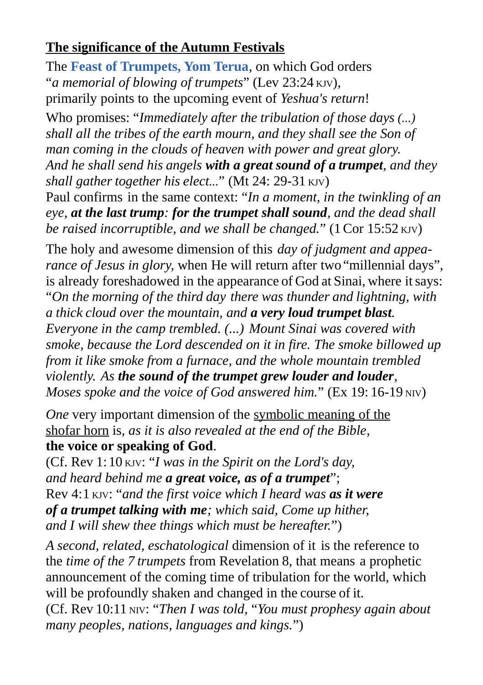### **The significance of the Autumn Festivals**

The **Feast of Trumpets, Yom Terua**, on which God orders "*a memorial of blowing of trumpets*" (Lev 23:24 KJV), primarily points to the upcoming event of *Yeshua's return*!

Who promises: "*Immediately after the tribulation of those days (...) shall all the tribes of the earth mourn, and they shall see the Son of man coming in the clouds of heaven with power and great glory. And he shall send his angels with a great sound of a trumpet, and they shall gather together his elect...*" (Mt 24: 29-31 KJV) Paul confirms in the same context: "*In a moment, in the twinkling of an eye, at the last trump: for the trumpet shall sound, and the dead shall be raised incorruptible, and we shall be changed.*" (1Cor 15:52 KJV)

The holy and awesome dimension of this *day of judgment and appearance of Jesus in glory,* when He will return after two "millennial days", is already foreshadowed in the appearance of God at Sinai, where itsays: "*On the morning of the third day there was thunder and lightning, with a thick cloud over the mountain, and a very loud trumpet blast. Everyone in the camp trembled. (...) Mount Sinai was covered with smoke, because the Lord descended on it in fire. The smoke billowed up from it like smoke from a furnace, and the whole mountain trembled violently. As the sound of the trumpet grew louder and louder, Moses spoke and the voice of God answered him.*" (Ex 19:16-19 NIV)

*One* very important dimension of the symbolic meaning of the shofar horn is, *as it is also revealed at the end of the Bible*, **the voice or speaking of God**.

(Cf. Rev 1:10 KJV: "*I was in the Spirit on the Lord's day, and heard behind me a great voice, as of a trumpet*"; Rev 4:1 KJV: "*and the first voice which I heard was as it were of a trumpet talking with me; which said, Come up hither, and I will shew thee things which must be hereafter.*")

*A second, related, eschatological* dimension of it is the reference to the *time of the 7 trumpets* from Revelation 8, that means a prophetic announcement of the coming time of tribulation for the world, which will be profoundly shaken and changed in the course of it.

(Cf. Rev 10:11 NIV: "*Then I was told,* "*You must prophesy again about many peoples, nations, languages and kings.*")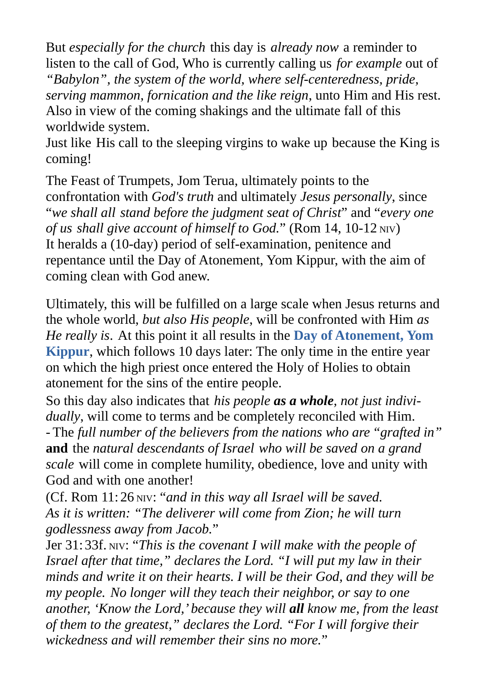But *especially for the church* this day is *already now* a reminder to listen to the call of God, Who is currently calling us *for example* out of *"Babylon", the system of the world, where self-centeredness, pride, serving mammon, fornication and the like reign*, unto Him and His rest. Also in view of the coming shakings and the ultimate fall of this worldwide system.

Just like His call to the sleeping virgins to wake up because the King is coming!

The Feast of Trumpets, Jom Terua, ultimately points to the confrontation with *God's truth* and ultimately *Jesus personally*, since "*we shall all stand before the judgment seat of Christ*" and "*every one of us shall give account of himself to God.*" (Rom 14, 10-12 NIV) It heralds a (10-day) period of self-examination, penitence and repentance until the Day of Atonement, Yom Kippur, with the aim of coming clean with God anew.

Ultimately, this will be fulfilled on a large scale when Jesus returns and the whole world, *but also His people*, will be confronted with Him *as He really is*. At this point it all results in the **Day of Atonement, Yom Kippur**, which follows 10 days later: The only time in the entire year on which the high priest once entered the Holy of Holies to obtain atonement for the sins of the entire people.

So this day also indicates that *his people as a whole, not just individually*, will come to terms and be completely reconciled with Him. - The *full number of the believers from the nations who are "grafted in"* **and** the *natural descendants of Israel who will be saved on a grand scale* will come in complete humility, obedience, love and unity with God and with one another!

(Cf. Rom 11: 26 NIV: "*and in this way all Israel will be saved. As it is written: "The deliverer will come from Zion; he will turn godlessness away from Jacob.*"

Jer 31: 33f. NIV: "*This is the covenant I will make with the people of Israel after that time," declares the Lord. "I will put my law in their minds and write it on their hearts. I will be their God, and they will be my people. No longer will they teach their neighbor, or say to one another, 'Know the Lord,' because they will all know me, from the least of them to the greatest," declares the Lord. "For I will forgive their wickedness and will remember their sins no more.*"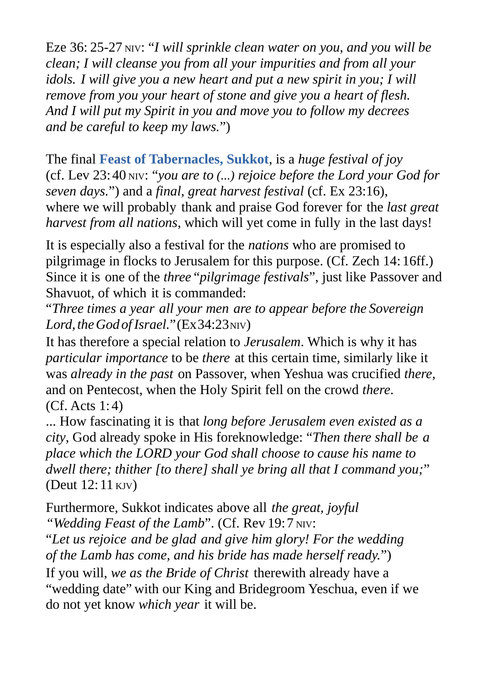Eze 36: 25-27 NIV: "*I will sprinkle clean water on you, and you will be clean; I will cleanse you from all your impurities and from all your idols. I will give you a new heart and put a new spirit in you; I will remove from you your heart of stone and give you a heart of flesh. And I will put my Spirit in you and move you to follow my decrees and be careful to keep my laws.*")

The final **Feast of Tabernacles, Sukkot**, is a *huge festival of joy* (cf. Lev 23:40 NIV: "*you are to (...) rejoice before the Lord your God for seven days.*") and a *final, great harvest festival* (cf. Ex 23:16), where we will probably thank and praise God forever for the *last great harvest from all nations*, which will yet come in fully in the last days!

It is especially also a festival for the *nations* who are promised to pilgrimage in flocks to Jerusalem for this purpose. (Cf. Zech 14: 16ff.) Since it is one of the *three* "*pilgrimage festivals*", just like Passover and Shavuot, of which it is commanded:

"*Three times a year all your men are to appear before the Sovereign* Lord, the God of Israel." (Ex34:23NIV)

It has therefore a special relation to *Jerusalem*. Which is why it has *particular importance* to be *there* at this certain time, similarly like it was *already in the past* on Passover, when Yeshua was crucified *there*, and on Pentecost, when the Holy Spirit fell on the crowd *there*. (Cf. Acts 1: 4)

... How fascinating it is that *long before Jerusalem even existed as a city*, God already spoke in His foreknowledge: "*Then there shall be a place which the LORD your God shall choose to cause his name to dwell there; thither [to there] shall ye bring all that I command you;*" (Deut 12: 11 KJV)

Furthermore, Sukkot indicates above all *the great, joyful "Wedding Feast of the Lamb*". (Cf. Rev 19:7 NIV:

"*Let us rejoice and be glad and give him glory! For the wedding of the Lamb has come, and his bride has made herself ready.*") If you will, *we as the Bride of Christ* therewith already have a "wedding date" with our King and Bridegroom Yeschua, even if we do not yet know *which year* it will be.